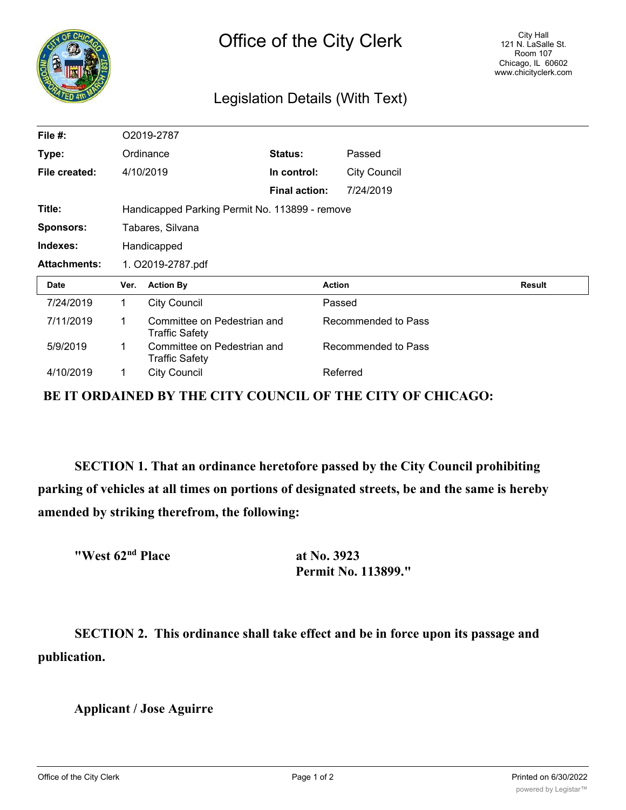|    | CHIQ |
|----|------|
|    |      |
|    |      |
| 24 |      |

## Legislation Details (With Text)

| File $#$ :          |                                                | O2019-2787                                    |                      |                     |  |               |  |
|---------------------|------------------------------------------------|-----------------------------------------------|----------------------|---------------------|--|---------------|--|
| Type:               |                                                | Ordinance                                     | Status:              | Passed              |  |               |  |
| File created:       |                                                | 4/10/2019                                     | In control:          | <b>City Council</b> |  |               |  |
|                     |                                                |                                               | <b>Final action:</b> | 7/24/2019           |  |               |  |
| Title:              | Handicapped Parking Permit No. 113899 - remove |                                               |                      |                     |  |               |  |
| <b>Sponsors:</b>    | Tabares, Silvana                               |                                               |                      |                     |  |               |  |
| Indexes:            | Handicapped                                    |                                               |                      |                     |  |               |  |
|                     | 1. O2019-2787.pdf                              |                                               |                      |                     |  |               |  |
| <b>Attachments:</b> |                                                |                                               |                      |                     |  |               |  |
| Date                | Ver.                                           | <b>Action By</b>                              |                      | <b>Action</b>       |  | <b>Result</b> |  |
| 7/24/2019           | 1.                                             | <b>City Council</b>                           |                      | Passed              |  |               |  |
| 7/11/2019           | 1                                              | Committee on Pedestrian and<br>Traffic Safety |                      | Recommended to Pass |  |               |  |
| 5/9/2019            |                                                | Committee on Pedestrian and<br>Traffic Safety |                      | Recommended to Pass |  |               |  |

**BE IT ORDAINED BY THE CITY COUNCIL OF THE CITY OF CHICAGO:**

**SECTION 1. That an ordinance heretofore passed by the City Council prohibiting parking of vehicles at all times on portions of designated streets, be and the same is hereby amended by striking therefrom, the following:**

| "West 62 <sup>nd</sup> Place |  |  |
|------------------------------|--|--|
|------------------------------|--|--|

**at No. 3923 Permit No. 113899."**

**SECTION 2. This ordinance shall take effect and be in force upon its passage and publication.**

**Applicant / Jose Aguirre**